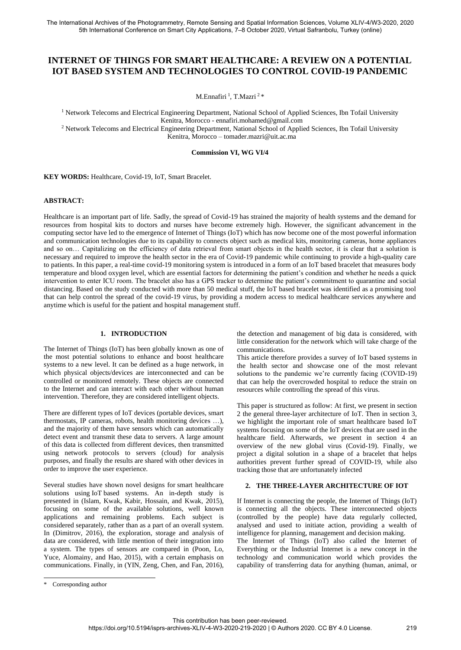## **INTERNET OF THINGS FOR SMART HEALTHCARE: A REVIEW ON A POTENTIAL IOT BASED SYSTEM AND TECHNOLOGIES TO CONTROL COVID-19 PANDEMIC**

M.Ennafiri <sup>1</sup>, T.Mazri <sup>2</sup> \*

<sup>1</sup> Network Telecoms and Electrical Engineering Department, National School of Applied Sciences, Ibn Tofail University Kenitra, Morocco - ennafiri.mohamed@gmail.com

<sup>2</sup> Network Telecoms and Electrical Engineering Department, National School of Applied Sciences, Ibn Tofail University Kenitra, Morocco – tomader.mazri@uit.ac.ma

**Commission VI, WG VI/4**

**KEY WORDS:** Healthcare, Covid-19, IoT, Smart Bracelet.

## **ABSTRACT:**

Healthcare is an important part of life. Sadly, the spread of Covid-19 has strained the majority of health systems and the demand for resources from hospital kits to doctors and nurses have become extremely high. However, the significant advancement in the computing sector have led to the emergence of Internet of Things (IoT) which has now become one of the most powerful information and communication technologies due to its capability to connects object such as medical kits, monitoring cameras, home appliances and so on… Capitalizing on the efficiency of data retrieval from smart objects in the health sector, it is clear that a solution is necessary and required to improve the health sector in the era of Covid-19 pandemic while continuing to provide a high-quality care to patients. In this paper, a real-time covid-19 monitoring system is introduced in a form of an IoT based bracelet that measures body temperature and blood oxygen level, which are essential factors for determining the patient's condition and whether he needs a quick intervention to enter ICU room. The bracelet also has a GPS tracker to determine the patient's commitment to quarantine and social distancing. Based on the study conducted with more than 50 medical stuff, the IoT based bracelet was identified as a promising tool that can help control the spread of the covid-19 virus, by providing a modern access to medical healthcare services anywhere and anytime which is useful for the patient and hospital management stuff.

## **1. INTRODUCTION**

The Internet of Things (IoT) has been globally known as one of the most potential solutions to enhance and boost healthcare systems to a new level. It can be defined as a huge network, in which physical objects/devices are interconnected and can be controlled or monitored remotely. These objects are connected to the Internet and can interact with each other without human intervention. Therefore, they are considered intelligent objects.

There are different types of IoT devices (portable devices, smart thermostats, IP cameras, robots, health monitoring devices …), and the majority of them have sensors which can automatically detect event and transmit these data to servers. A large amount of this data is collected from different devices, then transmitted using network protocols to servers (cloud) for analysis purposes, and finally the results are shared with other devices in order to improve the user experience.

Several studies have shown novel designs for smart healthcare solutions using IoT based systems. An in-depth study is presented in (Islam, Kwak, Kabir, Hossain, and Kwak, 2015), focusing on some of the available solutions, well known applications and remaining problems. Each subject is considered separately, rather than as a part of an overall system. In (Dimitrov, 2016), the exploration, storage and analysis of data are considered, with little mention of their integration into a system. The types of sensors are compared in (Poon, Lo, Yuce, Alomainy, and Hao, 2015), with a certain emphasis on communications. Finally, in (YIN, Zeng, Chen, and Fan, 2016),

the detection and management of big data is considered, with little consideration for the network which will take charge of the communications.

This article therefore provides a survey of IoT based systems in the health sector and showcase one of the most relevant solutions to the pandemic we're currently facing (COVID-19) that can help the overcrowded hospital to reduce the strain on resources while controlling the spread of this virus.

This paper is structured as follow: At first, we present in section 2 the general three-layer architecture of IoT. Then in section 3, we highlight the important role of smart healthcare based IoT systems focusing on some of the IoT devices that are used in the healthcare field. Afterwards, we present in section 4 an overview of the new global virus (Covid-19). Finally, we project a digital solution in a shape of a bracelet that helps authorities prevent further spread of COVID-19, while also tracking those that are unfortunately infected

## **2. THE THREE-LAYER ARCHITECTURE OF IOT**

If Internet is connecting the people, the Internet of Things (IoT) is connecting all the objects. These interconnected objects (controlled by the people) have data regularly collected, analysed and used to initiate action, providing a wealth of intelligence for planning, management and decision making. The Internet of Things (IoT) also called the Internet of

Everything or the Industrial Internet is a new concept in the technology and communication world which provides the capability of transferring data for anything (human, animal, or

Corresponding author